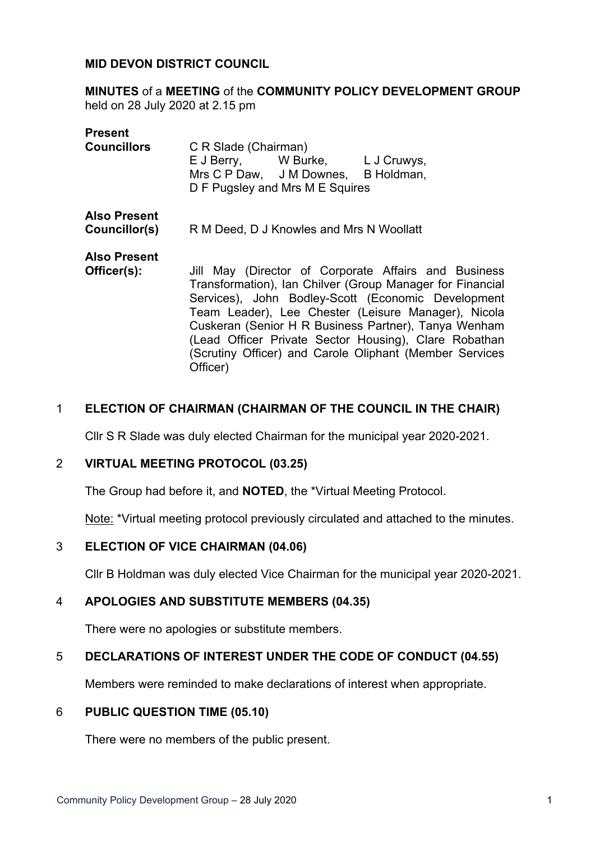#### **MID DEVON DISTRICT COUNCIL**

**MINUTES** of a **MEETING** of the **COMMUNITY POLICY DEVELOPMENT GROUP** held on 28 July 2020 at 2.15 pm

| <b>Present</b>                       |                                                                                                                                                                                                                                                                                                                                                                                                                        |
|--------------------------------------|------------------------------------------------------------------------------------------------------------------------------------------------------------------------------------------------------------------------------------------------------------------------------------------------------------------------------------------------------------------------------------------------------------------------|
| <b>Councillors</b>                   | C R Slade (Chairman)<br>E J Berry, W Burke, L J Cruwys,<br>Mrs C P Daw, J M Downes, B Holdman,<br>D F Pugsley and Mrs M E Squires                                                                                                                                                                                                                                                                                      |
| <b>Also Present</b><br>Councillor(s) | R M Deed, D J Knowles and Mrs N Woollatt                                                                                                                                                                                                                                                                                                                                                                               |
| <b>Also Present</b><br>Officer(s):   | Jill May (Director of Corporate Affairs and Business<br>Transformation), Ian Chilver (Group Manager for Financial<br>Services), John Bodley-Scott (Economic Development<br>Team Leader), Lee Chester (Leisure Manager), Nicola<br>Cuskeran (Senior H R Business Partner), Tanya Wenham<br>(Lead Officer Private Sector Housing), Clare Robathan<br>(Scrutiny Officer) and Carole Oliphant (Member Services<br>Officer) |

#### 1 **ELECTION OF CHAIRMAN (CHAIRMAN OF THE COUNCIL IN THE CHAIR)**

Cllr S R Slade was duly elected Chairman for the municipal year 2020-2021.

#### 2 **VIRTUAL MEETING PROTOCOL (03.25)**

The Group had before it, and **NOTED**, the \*Virtual Meeting Protocol.

Note: \*Virtual meeting protocol previously circulated and attached to the minutes.

#### 3 **ELECTION OF VICE CHAIRMAN (04.06)**

Cllr B Holdman was duly elected Vice Chairman for the municipal year 2020-2021.

#### 4 **APOLOGIES AND SUBSTITUTE MEMBERS (04.35)**

There were no apologies or substitute members.

## 5 **DECLARATIONS OF INTEREST UNDER THE CODE OF CONDUCT (04.55)**

Members were reminded to make declarations of interest when appropriate.

#### 6 **PUBLIC QUESTION TIME (05.10)**

There were no members of the public present.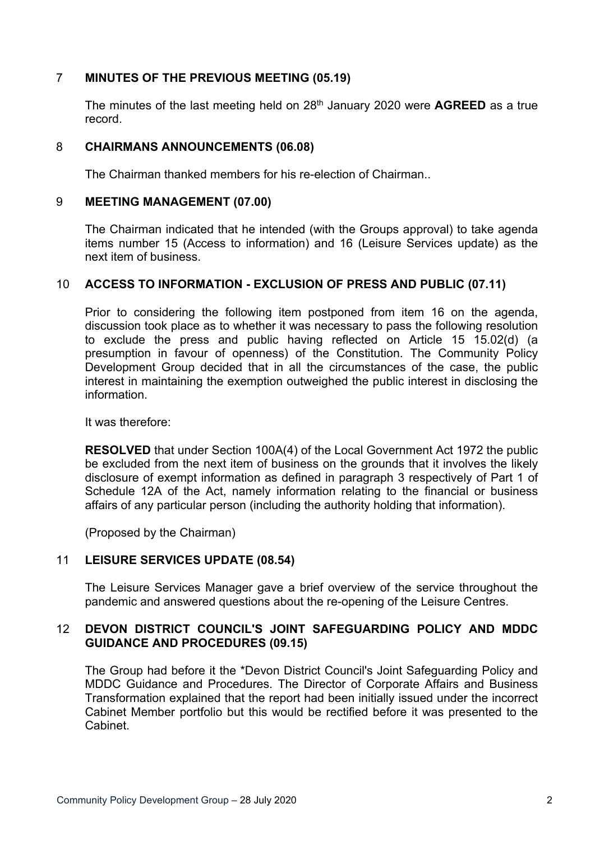# 7 **MINUTES OF THE PREVIOUS MEETING (05.19)**

The minutes of the last meeting held on 28th January 2020 were **AGREED** as a true record.

## 8 **CHAIRMANS ANNOUNCEMENTS (06.08)**

The Chairman thanked members for his re-election of Chairman..

## 9 **MEETING MANAGEMENT (07.00)**

The Chairman indicated that he intended (with the Groups approval) to take agenda items number 15 (Access to information) and 16 (Leisure Services update) as the next item of business.

## 10 **ACCESS TO INFORMATION - EXCLUSION OF PRESS AND PUBLIC (07.11)**

Prior to considering the following item postponed from item 16 on the agenda, discussion took place as to whether it was necessary to pass the following resolution to exclude the press and public having reflected on Article 15 15.02(d) (a presumption in favour of openness) of the Constitution. The Community Policy Development Group decided that in all the circumstances of the case, the public interest in maintaining the exemption outweighed the public interest in disclosing the information.

It was therefore:

**RESOLVED** that under Section 100A(4) of the Local Government Act 1972 the public be excluded from the next item of business on the grounds that it involves the likely disclosure of exempt information as defined in paragraph 3 respectively of Part 1 of Schedule 12A of the Act, namely information relating to the financial or business affairs of any particular person (including the authority holding that information).

(Proposed by the Chairman)

## 11 **LEISURE SERVICES UPDATE (08.54)**

The Leisure Services Manager gave a brief overview of the service throughout the pandemic and answered questions about the re-opening of the Leisure Centres.

## 12 **DEVON DISTRICT COUNCIL'S JOINT SAFEGUARDING POLICY AND MDDC GUIDANCE AND PROCEDURES (09.15)**

The Group had before it the \*Devon District Council's Joint Safeguarding Policy and MDDC Guidance and Procedures. The Director of Corporate Affairs and Business Transformation explained that the report had been initially issued under the incorrect Cabinet Member portfolio but this would be rectified before it was presented to the Cabinet.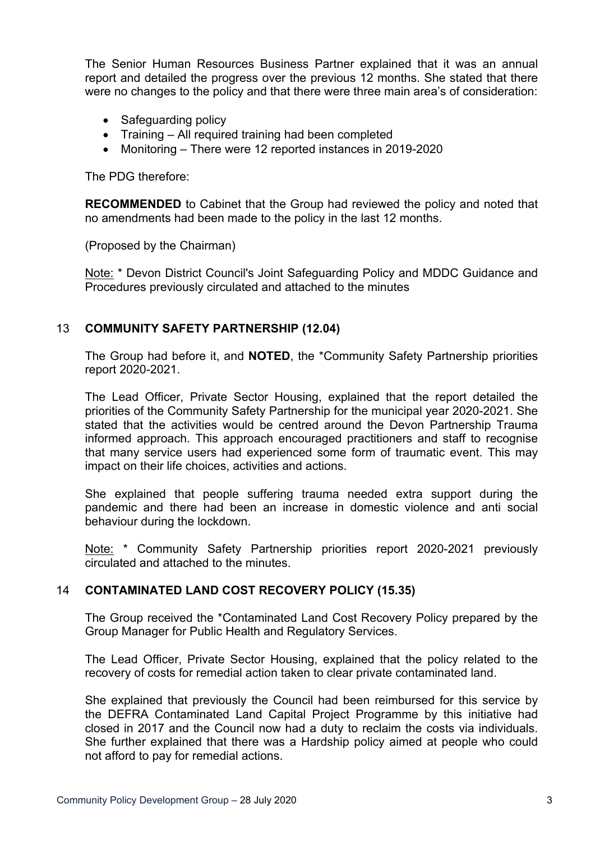The Senior Human Resources Business Partner explained that it was an annual report and detailed the progress over the previous 12 months. She stated that there were no changes to the policy and that there were three main area's of consideration:

- Safeguarding policy
- Training All required training had been completed
- Monitoring There were 12 reported instances in 2019-2020

The PDG therefore:

**RECOMMENDED** to Cabinet that the Group had reviewed the policy and noted that no amendments had been made to the policy in the last 12 months.

(Proposed by the Chairman)

Note: \* Devon District Council's Joint Safeguarding Policy and MDDC Guidance and Procedures previously circulated and attached to the minutes

# 13 **COMMUNITY SAFETY PARTNERSHIP (12.04)**

The Group had before it, and **NOTED**, the \*Community Safety Partnership priorities report 2020-2021.

The Lead Officer, Private Sector Housing, explained that the report detailed the priorities of the Community Safety Partnership for the municipal year 2020-2021. She stated that the activities would be centred around the Devon Partnership Trauma informed approach. This approach encouraged practitioners and staff to recognise that many service users had experienced some form of traumatic event. This may impact on their life choices, activities and actions.

She explained that people suffering trauma needed extra support during the pandemic and there had been an increase in domestic violence and anti social behaviour during the lockdown.

Note: \* Community Safety Partnership priorities report 2020-2021 previously circulated and attached to the minutes.

## 14 **CONTAMINATED LAND COST RECOVERY POLICY (15.35)**

The Group received the \*Contaminated Land Cost Recovery Policy prepared by the Group Manager for Public Health and Regulatory Services.

The Lead Officer, Private Sector Housing, explained that the policy related to the recovery of costs for remedial action taken to clear private contaminated land.

She explained that previously the Council had been reimbursed for this service by the DEFRA Contaminated Land Capital Project Programme by this initiative had closed in 2017 and the Council now had a duty to reclaim the costs via individuals. She further explained that there was a Hardship policy aimed at people who could not afford to pay for remedial actions.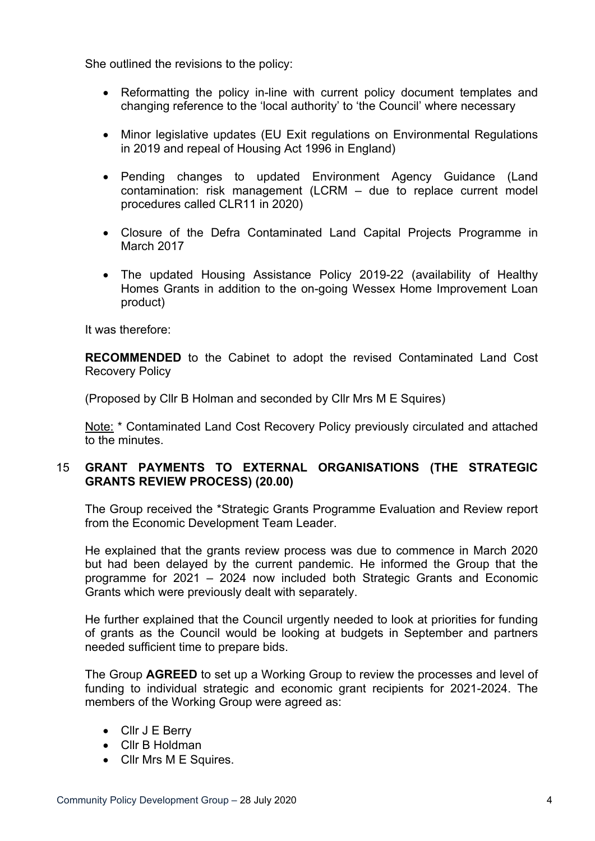She outlined the revisions to the policy:

- Reformatting the policy in-line with current policy document templates and changing reference to the 'local authority' to 'the Council' where necessary
- Minor legislative updates (EU Exit regulations on Environmental Regulations in 2019 and repeal of Housing Act 1996 in England)
- Pending changes to updated Environment Agency Guidance (Land contamination: risk management (LCRM – due to replace current model procedures called CLR11 in 2020)
- Closure of the Defra Contaminated Land Capital Projects Programme in March 2017
- The updated Housing Assistance Policy 2019-22 (availability of Healthy Homes Grants in addition to the on-going Wessex Home Improvement Loan product)

It was therefore:

**RECOMMENDED** to the Cabinet to adopt the revised Contaminated Land Cost Recovery Policy

(Proposed by Cllr B Holman and seconded by Cllr Mrs M E Squires)

Note: \* Contaminated Land Cost Recovery Policy previously circulated and attached to the minutes.

# 15 **GRANT PAYMENTS TO EXTERNAL ORGANISATIONS (THE STRATEGIC GRANTS REVIEW PROCESS) (20.00)**

The Group received the \*Strategic Grants Programme Evaluation and Review report from the Economic Development Team Leader.

He explained that the grants review process was due to commence in March 2020 but had been delayed by the current pandemic. He informed the Group that the programme for 2021 – 2024 now included both Strategic Grants and Economic Grants which were previously dealt with separately.

He further explained that the Council urgently needed to look at priorities for funding of grants as the Council would be looking at budgets in September and partners needed sufficient time to prepare bids.

The Group **AGREED** to set up a Working Group to review the processes and level of funding to individual strategic and economic grant recipients for 2021-2024. The members of the Working Group were agreed as:

- Cllr J E Berry
- Cllr B Holdman
- Cllr Mrs M E Squires.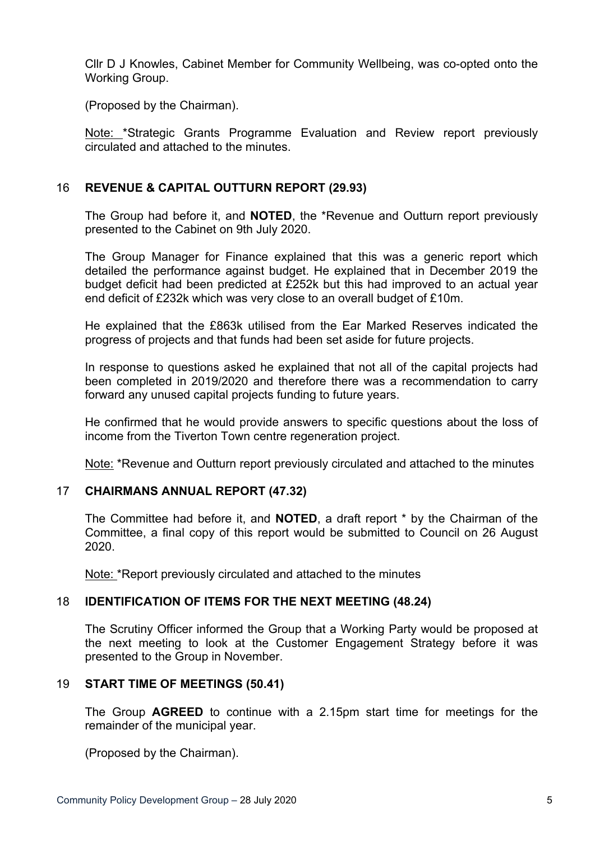Cllr D J Knowles, Cabinet Member for Community Wellbeing, was co-opted onto the Working Group.

(Proposed by the Chairman).

Note: \*Strategic Grants Programme Evaluation and Review report previously circulated and attached to the minutes.

# 16 **REVENUE & CAPITAL OUTTURN REPORT (29.93)**

The Group had before it, and **NOTED**, the \*Revenue and Outturn report previously presented to the Cabinet on 9th July 2020.

The Group Manager for Finance explained that this was a generic report which detailed the performance against budget. He explained that in December 2019 the budget deficit had been predicted at £252k but this had improved to an actual year end deficit of £232k which was very close to an overall budget of £10m.

He explained that the £863k utilised from the Ear Marked Reserves indicated the progress of projects and that funds had been set aside for future projects.

In response to questions asked he explained that not all of the capital projects had been completed in 2019/2020 and therefore there was a recommendation to carry forward any unused capital projects funding to future years.

He confirmed that he would provide answers to specific questions about the loss of income from the Tiverton Town centre regeneration project.

Note: \*Revenue and Outturn report previously circulated and attached to the minutes

# 17 **CHAIRMANS ANNUAL REPORT (47.32)**

The Committee had before it, and **NOTED**, a draft report \* by the Chairman of the Committee, a final copy of this report would be submitted to Council on 26 August 2020.

Note: \*Report previously circulated and attached to the minutes

# 18 **IDENTIFICATION OF ITEMS FOR THE NEXT MEETING (48.24)**

The Scrutiny Officer informed the Group that a Working Party would be proposed at the next meeting to look at the Customer Engagement Strategy before it was presented to the Group in November.

## 19 **START TIME OF MEETINGS (50.41)**

The Group **AGREED** to continue with a 2.15pm start time for meetings for the remainder of the municipal year.

(Proposed by the Chairman).